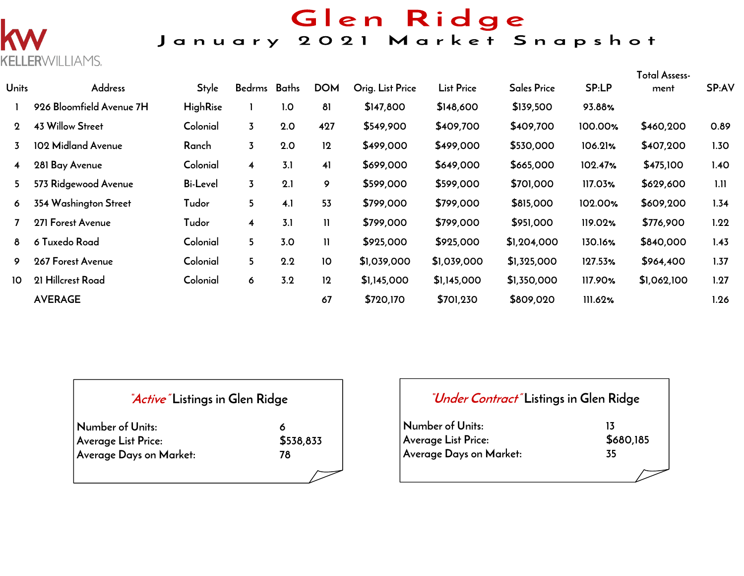

# Glen Ridge<br>January 2021 Market Snapshot

| <b>Units</b> | <b>Address</b>           | <b>Style</b>    | Bedrms Baths            |     | <b>DOM</b>   | Orig. List Price | <b>List Price</b> | <b>Sales Price</b> | SP:LP   | Total Assess-<br>ment | SP:AV |
|--------------|--------------------------|-----------------|-------------------------|-----|--------------|------------------|-------------------|--------------------|---------|-----------------------|-------|
|              | 926 Bloomfield Avenue 7H | <b>HighRise</b> |                         | 1.0 | 81           | \$147,800        | \$148,600         | \$139,500          | 93.88%  |                       |       |
| $\mathbf 2$  | <b>43 Willow Street</b>  | Colonial        | $\overline{3}$          | 2.0 | 427          | \$549,900        | \$409,700         | \$409,700          | 100.00% | \$460,200             | 0.89  |
| 3            | 102 Midland Avenue       | Ranch           | $\overline{3}$          | 2.0 | 12           | \$499,000        | \$499,000         | \$530,000          | 106.21% | \$407,200             | 1.30  |
| 4            | 281 Bay Avenue           | Colonial        | $\overline{\mathbf{4}}$ | 3.1 | 41           | \$699,000        | \$649,000         | \$665,000          | 102.47% | \$475,100             | 1.40  |
| 5            | 573 Ridgewood Avenue     | <b>Bi-Level</b> | $\overline{3}$          | 2.1 | 9            | \$599,000        | \$599,000         | \$701,000          | 117.03% | \$629,600             | 1.11  |
| 6            | 354 Washington Street    | Tudor           | 5                       | 4.1 | 53           | \$799,000        | \$799,000         | \$815,000          | 102.00% | \$609,200             | 1.34  |
|              | 271 Forest Avenue        | Tudor           | $\overline{\mathbf{4}}$ | 3.1 | $\mathbf{H}$ | \$799,000        | \$799,000         | \$951,000          | 119.02% | \$776,900             | 1.22  |
| 8            | 6 Tuxedo Road            | Colonial        | 5                       | 3.0 | $\mathbf{H}$ | \$925,000        | \$925,000         | \$1,204,000        | 130.16% | \$840,000             | 1.43  |
| 9            | 267 Forest Avenue        | Colonial        | 5                       | 2.2 | 10           | \$1,039,000      | \$1,039,000       | \$1,325,000        | 127.53% | \$964,400             | 1.37  |
| 10           | 21 Hillcrest Road        | Colonial        | 6                       | 3.2 | 12           | \$1,145,000      | \$1,145,000       | \$1,350,000        | 117.90% | \$1,062,100           | 1.27  |
|              | <b>AVERAGE</b>           |                 |                         |     | 67           | \$720,170        | \$701,230         | \$809,020          | 111.62% |                       | 1.26  |

| <i>Active</i> Listings in Glen Ridge |           |
|--------------------------------------|-----------|
| Number of Units:                     |           |
| <b>Average List Price:</b>           | \$538,833 |
| Average Days on Market:              | 78        |
|                                      |           |

| <i>"Under Contract"</i> Listings in Glen Ridge |                 |  |  |  |  |  |  |  |
|------------------------------------------------|-----------------|--|--|--|--|--|--|--|
| Number of Units:<br>Average List Price:        | 13<br>\$680,185 |  |  |  |  |  |  |  |
| Average Days on Market:                        | 35              |  |  |  |  |  |  |  |
|                                                |                 |  |  |  |  |  |  |  |